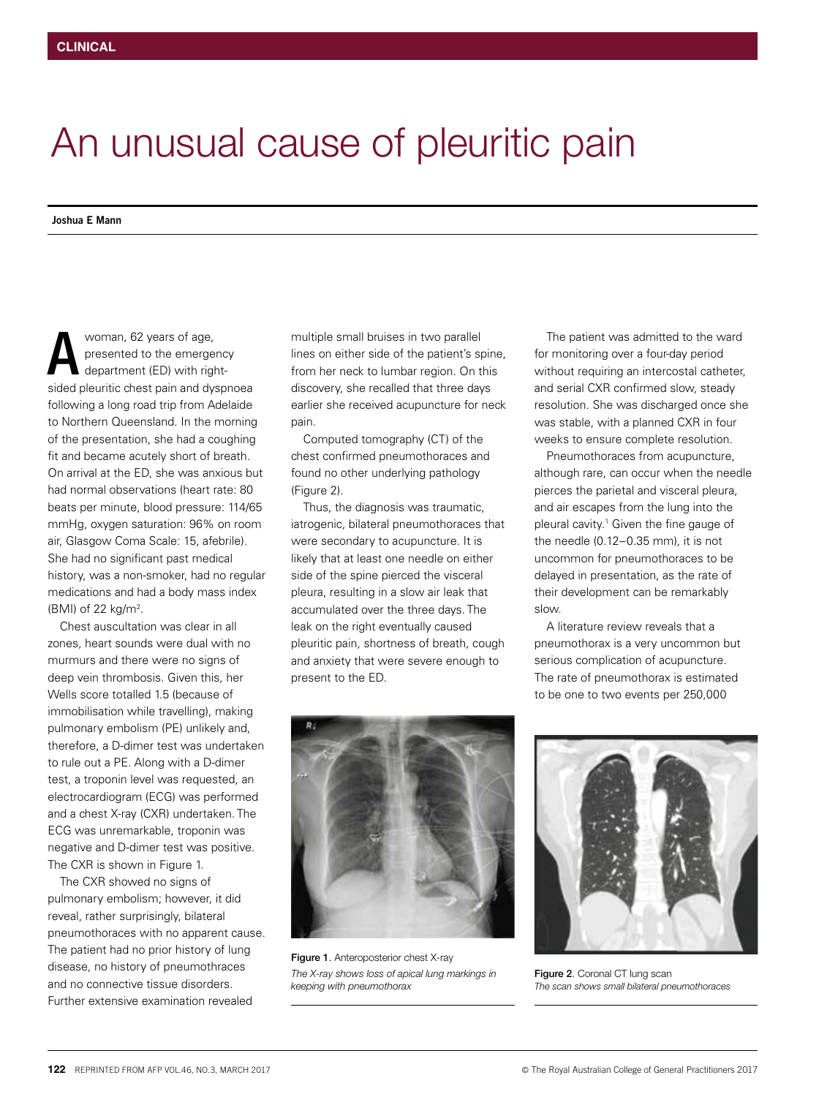## An unusual cause of pleuritic pain

**Joshua E Mann**

woman, 62 years of age, presented to the emergency department (ED) with rightsided pleuritic chest pain and dyspnoea following a long road trip from Adelaide to Northern Queensland. In the morning of the presentation, she had a coughing fit and became acutely short of breath. On arrival at the ED, she was anxious but had normal observations (heart rate: 80 beats per minute, blood pressure: 114/65 mmHg, oxygen saturation: 96% on room air, Glasgow Coma Scale: 15, afebrile). She had no significant past medical history, was a non-smoker, had no regular medications and had a body mass index (BMI) of 22 kg/m2 . A

Chest auscultation was clear in all zones, heart sounds were dual with no murmurs and there were no signs of deep vein thrombosis. Given this, her Wells score totalled 1.5 (because of immobilisation while travelling), making pulmonary embolism (PE) unlikely and, therefore, a D-dimer test was undertaken to rule out a PE. Along with a D-dimer test, a troponin level was requested, an electrocardiogram (ECG) was performed and a chest X-ray (CXR) undertaken. The ECG was unremarkable, troponin was negative and D-dimer test was positive. The CXR is shown in Figure 1.

The CXR showed no signs of pulmonary embolism; however, it did reveal, rather surprisingly, bilateral pneumothoraces with no apparent cause. The patient had no prior history of lung disease, no history of pneumothraces and no connective tissue disorders. Further extensive examination revealed

multiple small bruises in two parallel lines on either side of the patient's spine, from her neck to lumbar region. On this discovery, she recalled that three days earlier she received acupuncture for neck pain.

Computed tomography (CT) of the chest confirmed pneumothoraces and found no other underlying pathology (Figure 2).

Thus, the diagnosis was traumatic, iatrogenic, bilateral pneumothoraces that were secondary to acupuncture. It is likely that at least one needle on either side of the spine pierced the visceral pleura, resulting in a slow air leak that accumulated over the three days. The leak on the right eventually caused pleuritic pain, shortness of breath, cough and anxiety that were severe enough to present to the ED.

The patient was admitted to the ward for monitoring over a four-day period without requiring an intercostal catheter, and serial CXR confirmed slow, steady resolution. She was discharged once she was stable, with a planned CXR in four weeks to ensure complete resolution.

Pneumothoraces from acupuncture, although rare, can occur when the needle pierces the parietal and visceral pleura, and air escapes from the lung into the pleural cavity.1 Given the fine gauge of the needle (0.12–0.35 mm), it is not uncommon for pneumothoraces to be delayed in presentation, as the rate of their development can be remarkably slow.

A literature review reveals that a pneumothorax is a very uncommon but serious complication of acupuncture. The rate of pneumothorax is estimated to be one to two events per 250,000



Figure 1. Anteroposterior chest X-ray *The X-ray shows loss of apical lung markings in keeping with pneumothorax*



Figure 2. Coronal CT lung scan *The scan shows small bilateral pneumothoraces*